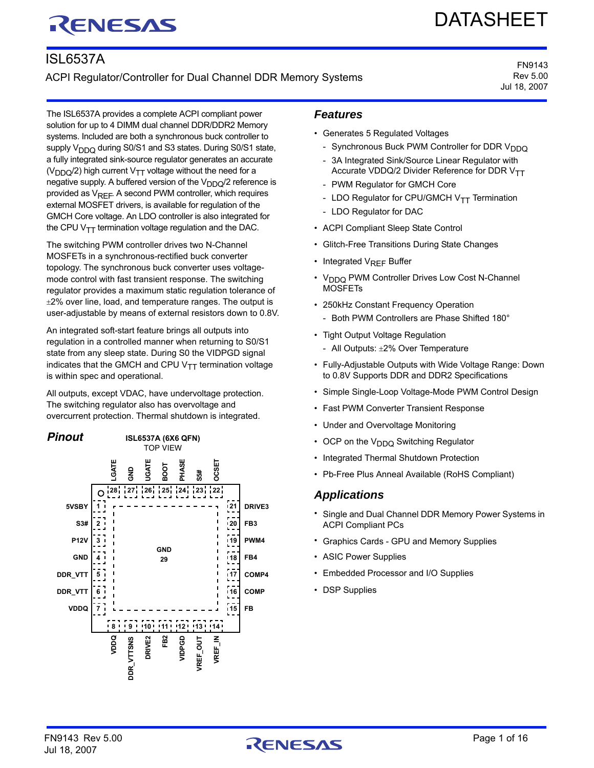# RENESAS

# DATASHEET

## ISL6537A

ACPI Regulator/Controller for Dual Channel DDR Memory Systems

FN9143 Rev 5.00 Jul 18, 2007

The ISL6537A provides a complete ACPI compliant power solution for up to 4 DIMM dual channel DDR/DDR2 Memory systems. Included are both a synchronous buck controller to supply V<sub>DDQ</sub> during S0/S1 and S3 states. During S0/S1 state, a fully integrated sink-source regulator generates an accurate  $(V<sub>D</sub>)<sub>Q</sub>/2$ ) high current V<sub>TT</sub> voltage without the need for a negative supply. A buffered version of the  $V_{DDQ}/2$  reference is provided as  $V_{RFF}$ . A second PWM controller, which requires external MOSFET drivers, is available for regulation of the GMCH Core voltage. An LDO controller is also integrated for the CPU  $V_{TT}$  termination voltage regulation and the DAC.

The switching PWM controller drives two N-Channel MOSFETs in a synchronous-rectified buck converter topology. The synchronous buck converter uses voltagemode control with fast transient response. The switching regulator provides a maximum static regulation tolerance of  $\pm$ 2% over line, load, and temperature ranges. The output is user-adjustable by means of external resistors down to 0.8V.

An integrated soft-start feature brings all outputs into regulation in a controlled manner when returning to S0/S1 state from any sleep state. During S0 the VIDPGD signal indicates that the GMCH and CPU  $V_{TT}$  termination voltage is within spec and operational.

All outputs, except VDAC, have undervoltage protection. The switching regulator also has overvoltage and overcurrent protection. Thermal shutdown is integrated.



#### *Features*

- Generates 5 Regulated Voltages
	- Synchronous Buck PWM Controller for DDR V<sub>DDQ</sub>
	- 3A Integrated Sink/Source Linear Regulator with Accurate VDDQ/2 Divider Reference for DDR  $V_{TT}$
	- PWM Regulator for GMCH Core
	- LDO Regulator for CPU/GMCH V $_{TT}$  Termination
	- LDO Regulator for DAC
- ACPI Compliant Sleep State Control
- Glitch-Free Transitions During State Changes
- Integrated V<sub>REF</sub> Buffer
- V<sub>DDO</sub> PWM Controller Drives Low Cost N-Channel MOSFETs
- 250kHz Constant Frequency Operation - Both PWM Controllers are Phase Shifted 180°
- Tight Output Voltage Regulation - All Outputs:  $\pm 2\%$  Over Temperature
- Fully-Adjustable Outputs with Wide Voltage Range: Down to 0.8V Supports DDR and DDR2 Specifications
- Simple Single-Loop Voltage-Mode PWM Control Design
- Fast PWM Converter Transient Response
- Under and Overvoltage Monitoring
- OCP on the V<sub>DDQ</sub> Switching Regulator
- Integrated Thermal Shutdown Protection
- Pb-Free Plus Anneal Available (RoHS Compliant)

#### *Applications*

- Single and Dual Channel DDR Memory Power Systems in ACPI Compliant PCs
- Graphics Cards GPU and Memory Supplies
- ASIC Power Supplies
- Embedded Processor and I/O Supplies
- DSP Supplies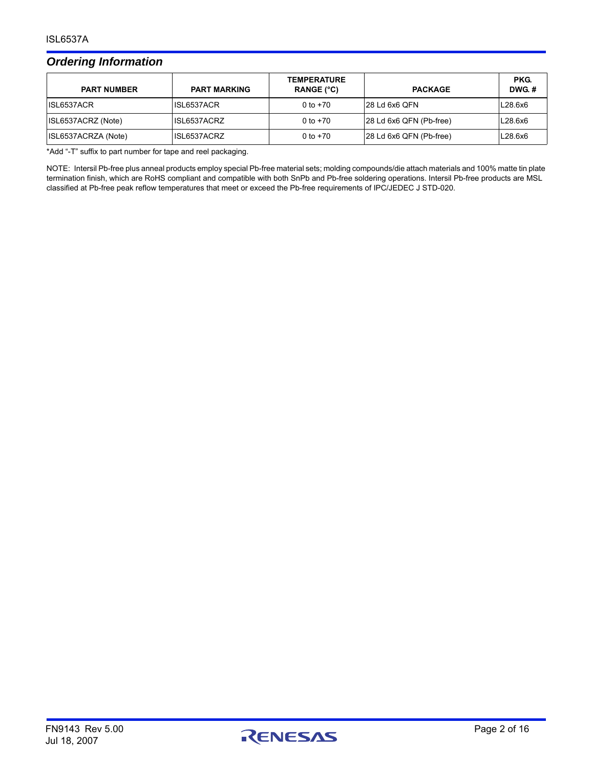#### *Ordering Information*

| <b>PART NUMBER</b>  | <b>PART MARKING</b> | <b>TEMPERATURE</b><br>RANGE $(^{\circ}C)$ | <b>PACKAGE</b>          | <b>PKG.</b><br>DWG.# |
|---------------------|---------------------|-------------------------------------------|-------------------------|----------------------|
| ISL6537ACR          | ISL6537ACR          | 0 to $+70$                                |                         | L28.6x6              |
| ISL6537ACRZ (Note)  | ISL6537ACRZ         | 0 to $+70$                                | 28 Ld 6x6 QFN (Pb-free) | L28.6x6              |
| ISL6537ACRZA (Note) | ISL6537ACRZ         | 0 to $+70$                                | 28 Ld 6x6 QFN (Pb-free) | L28.6x6              |

\*Add "-T" suffix to part number for tape and reel packaging.

NOTE: Intersil Pb-free plus anneal products employ special Pb-free material sets; molding compounds/die attach materials and 100% matte tin plate termination finish, which are RoHS compliant and compatible with both SnPb and Pb-free soldering operations. Intersil Pb-free products are MSL classified at Pb-free peak reflow temperatures that meet or exceed the Pb-free requirements of IPC/JEDEC J STD-020.

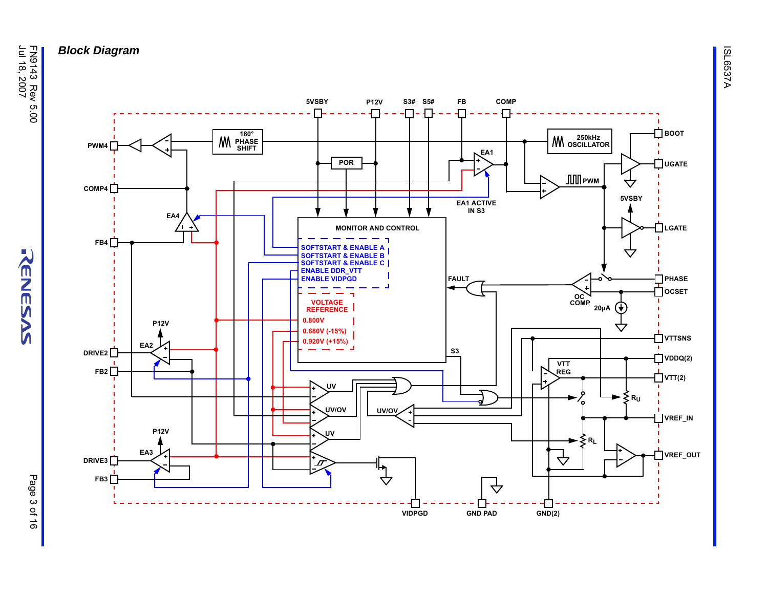ISL6537A *Block Diagram*



Page 3 of 16 Page 3 of 16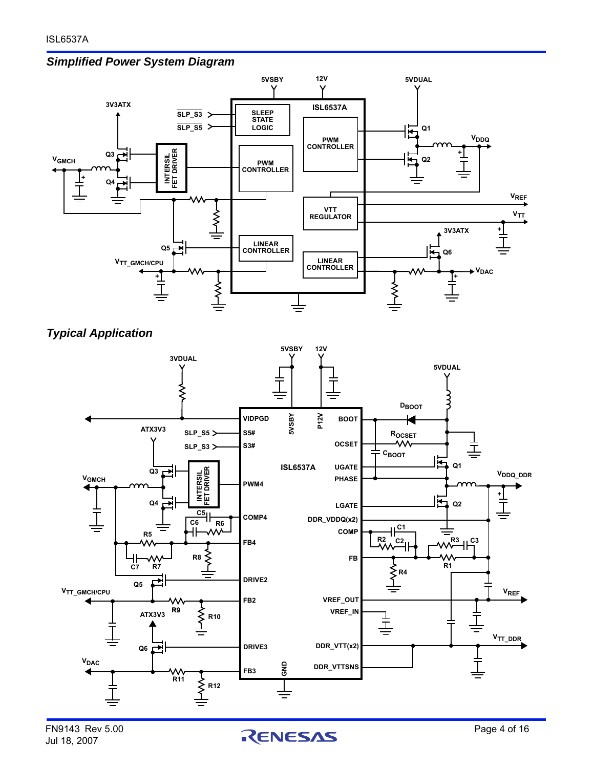### *Simplified Power System Diagram*



*Typical Application*



Jul 18, 2007

FN9143 Rev 5.00 **Page 4 of 16**<br>
Jul 18, 2007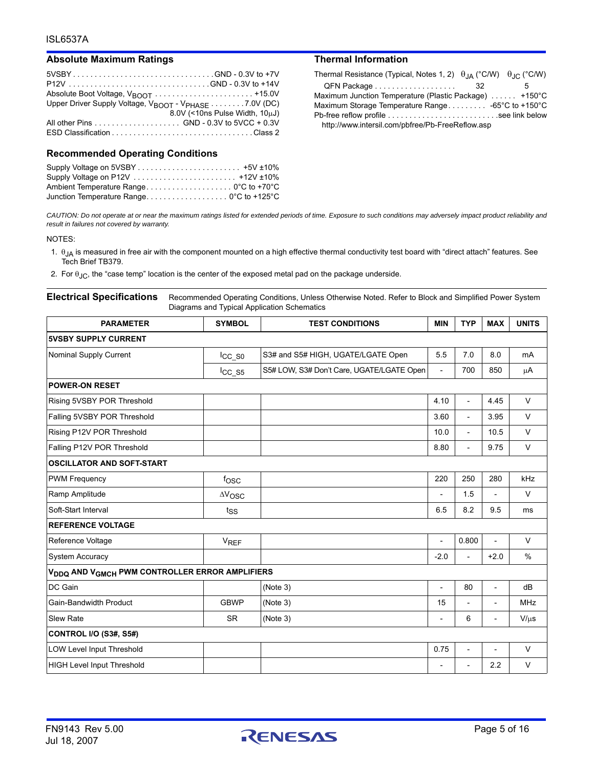#### Absolute Maximum Ratings **Thermal Information**

| Upper Driver Supply Voltage, V <sub>BOOT</sub> - V <sub>PHASE</sub> 7.0V (DC) |                                |
|-------------------------------------------------------------------------------|--------------------------------|
|                                                                               | 8.0V (<10ns Pulse Width, 10µJ) |
|                                                                               |                                |
|                                                                               |                                |

#### **Recommended Operating Conditions**

| Thermal Resistance (Typical, Notes 1, 2) $\theta_{IA}$ (°C/W) $\theta_{IC}$ (°C/W) |    |  |
|------------------------------------------------------------------------------------|----|--|
|                                                                                    | 32 |  |
| Maximum Junction Temperature (Plastic Package)  +150°C                             |    |  |
| Maximum Storage Temperature Range -65°C to +150°C                                  |    |  |
|                                                                                    |    |  |
| http://www.intersil.com/pbfree/Pb-FreeReflow.asp                                   |    |  |

*CAUTION: Do not operate at or near the maximum ratings listed for extended periods of time. Exposure to such conditions may adversely impact product reliability and result in failures not covered by warranty.*

#### NOTES:

- 1.  $\theta_{JA}$  is measured in free air with the component mounted on a high effective thermal conductivity test board with "direct attach" features. See Tech Brief TB379.
- 2. For  $\theta_{JC}$ , the "case temp" location is the center of the exposed metal pad on the package underside.

**Electrical Specifications** Recommended Operating Conditions, Unless Otherwise Noted. Refer to Block and Simplified Power System Diagrams and Typical Application Schematics

| <b>PARAMETER</b>                                                       | <b>SYMBOL</b>      | <b>TEST CONDITIONS</b>                    | <b>MIN</b>               | <b>TYP</b>               | <b>MAX</b>               | <b>UNITS</b>  |
|------------------------------------------------------------------------|--------------------|-------------------------------------------|--------------------------|--------------------------|--------------------------|---------------|
| <b>5VSBY SUPPLY CURRENT</b>                                            |                    |                                           |                          |                          |                          |               |
| Nominal Supply Current                                                 | $\overline{C}$ so  | S3# and S5# HIGH, UGATE/LGATE Open        | 5.5                      | 7.0                      | 8.0                      | <b>mA</b>     |
|                                                                        | $\overline{C}$ _S5 | S5# LOW, S3# Don't Care, UGATE/LGATE Open | $\overline{\phantom{a}}$ | 700                      | 850                      | μA            |
| <b>POWER-ON RESET</b>                                                  |                    |                                           |                          |                          |                          |               |
| Rising 5VSBY POR Threshold                                             |                    |                                           | 4.10                     | $\blacksquare$           | 4.45                     | $\vee$        |
| Falling 5VSBY POR Threshold                                            |                    |                                           | 3.60                     | $\overline{\phantom{a}}$ | 3.95                     | $\vee$        |
| Rising P12V POR Threshold                                              |                    |                                           | 10.0                     | $\blacksquare$           | 10.5                     | $\vee$        |
| Falling P12V POR Threshold                                             |                    |                                           | 8.80                     | $\blacksquare$           | 9.75                     | $\vee$        |
| <b>OSCILLATOR AND SOFT-START</b>                                       |                    |                                           |                          |                          |                          |               |
| <b>PWM Frequency</b>                                                   | f <sub>OSC</sub>   |                                           | 220                      | 250                      | 280                      | kHz           |
| Ramp Amplitude                                                         | $\Delta V$ OSC     |                                           |                          | 1.5                      |                          | $\vee$        |
| Soft-Start Interval                                                    | tss                |                                           | 6.5                      | 8.2                      | 9.5                      | ms            |
| <b>REFERENCE VOLTAGE</b>                                               |                    |                                           |                          |                          |                          |               |
| Reference Voltage                                                      | <b>VREF</b>        |                                           | $\overline{\phantom{a}}$ | 0.800                    |                          | $\vee$        |
| System Accuracy                                                        |                    |                                           | $-2.0$                   | $\overline{a}$           | $+2.0$                   | $\frac{0}{0}$ |
| V <sub>DDQ</sub> AND V <sub>GMCH</sub> PWM CONTROLLER ERROR AMPLIFIERS |                    |                                           |                          |                          |                          |               |
| DC Gain                                                                |                    | (Note 3)                                  | $\overline{a}$           | 80                       | $\blacksquare$           | dB            |
| Gain-Bandwidth Product                                                 | <b>GBWP</b>        | (Note 3)                                  | 15                       | $\overline{\phantom{a}}$ | $\overline{\phantom{a}}$ | <b>MHz</b>    |
| <b>Slew Rate</b>                                                       | <b>SR</b>          | (Note 3)                                  | $\overline{\phantom{a}}$ | 6                        | $\overline{\phantom{a}}$ | $V/\mu s$     |
| <b>CONTROL I/O (S3#, S5#)</b>                                          |                    |                                           |                          |                          |                          |               |
| <b>LOW Level Input Threshold</b>                                       |                    |                                           | 0.75                     | $\blacksquare$           | $\blacksquare$           | $\vee$        |
| <b>HIGH Level Input Threshold</b>                                      |                    |                                           | $\overline{\phantom{a}}$ | $\overline{\phantom{a}}$ | 2.2                      | $\vee$        |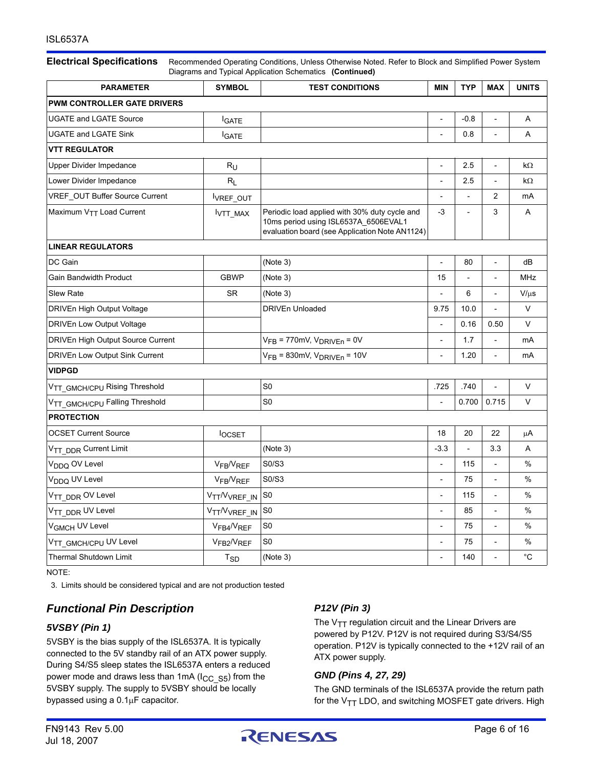**Electrical Specifications** Recommended Operating Conditions, Unless Otherwise Noted. Refer to Block and Simplified Power System Diagrams and Typical Application Schematics **(Continued)**

| <b>PARAMETER</b>                           | <b>SYMBOL</b>                         | <b>TEST CONDITIONS</b>                                                                                                                  | <b>MIN</b>               | <b>TYP</b>     | <b>MAX</b>               | <b>UNITS</b> |  |
|--------------------------------------------|---------------------------------------|-----------------------------------------------------------------------------------------------------------------------------------------|--------------------------|----------------|--------------------------|--------------|--|
| <b>PWM CONTROLLER GATE DRIVERS</b>         |                                       |                                                                                                                                         |                          |                |                          |              |  |
| <b>UGATE and LGATE Source</b>              | <b>I</b> GATE                         |                                                                                                                                         | $\overline{a}$           | $-0.8$         |                          | Α            |  |
| <b>UGATE and LGATE Sink</b>                | <b>IGATE</b>                          |                                                                                                                                         | $\overline{\phantom{a}}$ | 0.8            | $\overline{a}$           | A            |  |
| <b>VTT REGULATOR</b>                       |                                       |                                                                                                                                         |                          |                |                          |              |  |
| Upper Divider Impedance                    | $R_{U}$                               |                                                                                                                                         |                          | 2.5            |                          | $k\Omega$    |  |
| Lower Divider Impedance                    | $R_L$                                 |                                                                                                                                         |                          | 2.5            | $\overline{\phantom{a}}$ | $k\Omega$    |  |
| VREF_OUT Buffer Source Current             | VREF_OUT                              |                                                                                                                                         |                          |                | 2                        | mA           |  |
| Maximum V <sub>TT</sub> Load Current       | VTT_MAX                               | Periodic load applied with 30% duty cycle and<br>10ms period using ISL6537A_6506EVAL1<br>evaluation board (see Application Note AN1124) | $-3$                     | $\overline{a}$ | 3                        | Α            |  |
| <b>LINEAR REGULATORS</b>                   |                                       |                                                                                                                                         |                          |                |                          |              |  |
| DC Gain                                    |                                       | (Note 3)                                                                                                                                | $\overline{a}$           | 80             | $\overline{a}$           | dB           |  |
| <b>Gain Bandwidth Product</b>              | <b>GBWP</b>                           | (Note 3)                                                                                                                                | 15                       |                | $\overline{\phantom{a}}$ | <b>MHz</b>   |  |
| <b>Slew Rate</b>                           | SR                                    | (Note 3)                                                                                                                                |                          | 6              |                          | $V/\mu s$    |  |
| DRIVEn High Output Voltage                 |                                       | <b>DRIVEn Unloaded</b>                                                                                                                  | 9.75                     | 10.0           | $\blacksquare$           | V            |  |
| <b>DRIVEn Low Output Voltage</b>           |                                       |                                                                                                                                         |                          | 0.16           | 0.50                     | $\vee$       |  |
| DRIVEn High Output Source Current          |                                       | $V_{FB}$ = 770mV, $V_{DRIVEn}$ = 0V                                                                                                     | $\overline{\phantom{a}}$ | 1.7            | $\overline{a}$           | mA           |  |
| DRIVEn Low Output Sink Current             |                                       | $VFB = 830mV, VDRIVEn = 10V$                                                                                                            | $\overline{a}$           | 1.20           | $\overline{a}$           | mA           |  |
| <b>VIDPGD</b>                              |                                       |                                                                                                                                         |                          |                |                          |              |  |
| V <sub>TT_GMCH/CPU</sub> Rising Threshold  |                                       | S <sub>0</sub>                                                                                                                          | .725                     | .740           |                          | V            |  |
| V <sub>TT</sub> GMCH/CPU Falling Threshold |                                       | S <sub>0</sub>                                                                                                                          |                          | 0.700          | 0.715                    | $\vee$       |  |
| <b>PROTECTION</b>                          |                                       |                                                                                                                                         |                          |                |                          |              |  |
| <b>OCSET Current Source</b>                | <b>locsET</b>                         |                                                                                                                                         | 18                       | 20             | 22                       | μA           |  |
| V <sub>TT DDR</sub> Current Limit          |                                       | (Note 3)                                                                                                                                | $-3.3$                   |                | 3.3                      | A            |  |
| V <sub>DDQ</sub> OV Level                  | V <sub>FB</sub> /V <sub>REF</sub>     | S0/S3                                                                                                                                   | $\overline{\phantom{a}}$ | 115            | $\overline{\phantom{0}}$ | %            |  |
| V <sub>DDQ</sub> UV Level                  | V <sub>FB</sub> /V <sub>REF</sub>     | S0/S3                                                                                                                                   |                          | 75             |                          | $\%$         |  |
| V <sub>TT_DDR</sub> OV Level               | VTT/VVREF_IN                          | S <sub>0</sub>                                                                                                                          | $\overline{\phantom{a}}$ | 115            | $\overline{\phantom{a}}$ | $\%$         |  |
| V <sub>TT DDR</sub> UV Level               | V <sub>TT</sub> /V <sub>VREF</sub> IN | S <sub>0</sub>                                                                                                                          | $\overline{\phantom{a}}$ | 85             | $\overline{a}$           | %            |  |
| V <sub>GMCH</sub> UV Level                 | V <sub>FB4</sub> /V <sub>REF</sub>    | S <sub>0</sub>                                                                                                                          |                          | 75             |                          | $\%$         |  |
| VTT GMCH/CPU UV Level                      | VFB2 <sup>/V</sup> REF                | S <sub>0</sub>                                                                                                                          |                          | 75             |                          | $\%$         |  |
| <b>Thermal Shutdown Limit</b>              | T <sub>SD</sub>                       | (Note 3)                                                                                                                                |                          | 140            |                          | $^{\circ}C$  |  |

NOTE:

<span id="page-5-0"></span>3. Limits should be considered typical and are not production tested

#### *Functional Pin Description*

#### *5VSBY (Pin 1)*

5VSBY is the bias supply of the ISL6537A. It is typically connected to the 5V standby rail of an ATX power supply. During S4/S5 sleep states the ISL6537A enters a reduced power mode and draws less than 1mA ( $I_{CC-S5}$ ) from the 5VSBY supply. The supply to 5VSBY should be locally bypassed using a  $0.1\mu$ F capacitor.

#### *P12V (Pin 3)*

The  $V_{TT}$  regulation circuit and the Linear Drivers are powered by P12V. P12V is not required during S3/S4/S5 operation. P12V is typically connected to the +12V rail of an ATX power supply.

#### *GND (Pins 4, 27, 29)*

The GND terminals of the ISL6537A provide the return path for the  $V_{TT}$  LDO, and switching MOSFET gate drivers. High

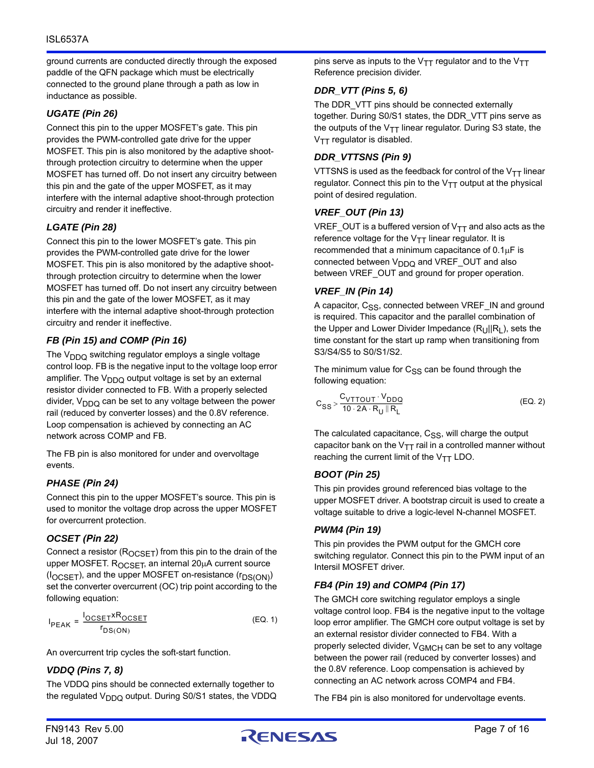ground currents are conducted directly through the exposed paddle of the QFN package which must be electrically connected to the ground plane through a path as low in inductance as possible.

#### *UGATE (Pin 26)*

Connect this pin to the upper MOSFET's gate. This pin provides the PWM-controlled gate drive for the upper MOSFET. This pin is also monitored by the adaptive shootthrough protection circuitry to determine when the upper MOSFET has turned off. Do not insert any circuitry between this pin and the gate of the upper MOSFET, as it may interfere with the internal adaptive shoot-through protection circuitry and render it ineffective.

#### *LGATE (Pin 28)*

Connect this pin to the lower MOSFET's gate. This pin provides the PWM-controlled gate drive for the lower MOSFET. This pin is also monitored by the adaptive shootthrough protection circuitry to determine when the lower MOSFET has turned off. Do not insert any circuitry between this pin and the gate of the lower MOSFET, as it may interfere with the internal adaptive shoot-through protection circuitry and render it ineffective.

#### *FB (Pin 15) and COMP (Pin 16)*

The  $V_{DDO}$  switching regulator employs a single voltage control loop. FB is the negative input to the voltage loop error amplifier. The  $V_{\text{DDO}}$  output voltage is set by an external resistor divider connected to FB. With a properly selected divider,  $V_{\text{DDQ}}$  can be set to any voltage between the power rail (reduced by converter losses) and the 0.8V reference. Loop compensation is achieved by connecting an AC network across COMP and FB.

The FB pin is also monitored for under and overvoltage events.

#### *PHASE (Pin 24)*

Connect this pin to the upper MOSFET's source. This pin is used to monitor the voltage drop across the upper MOSFET for overcurrent protection.

#### *OCSET (Pin 22)*

Connect a resistor ( $R_{OCSET}$ ) from this pin to the drain of the upper MOSFET.  $R_{OCSET}$ , an internal 20 $\mu$ A current source  $(I_{OCSET})$ , and the upper MOSFET on-resistance  $(r_{DS(ON)})$ set the converter overcurrent (OC) trip point according to the following equation:

$$
I_{PEAK} = \frac{I_{OCSET}xR_{OCSET}}{r_{DS(ON)}}
$$
 (EQ. 1)

An overcurrent trip cycles the soft-start function.

#### *VDDQ (Pins 7, 8)*

The VDDQ pins should be connected externally together to the regulated  $V_{\text{DDO}}$  output. During S0/S1 states, the VDDQ pins serve as inputs to the V<sub>TT</sub> regulator and to the V<sub>TT</sub> Reference precision divider.

#### *DDR\_VTT (Pins 5, 6)*

The DDR VTT pins should be connected externally together. During S0/S1 states, the DDR\_VTT pins serve as the outputs of the  $V_{TT}$  linear regulator. During S3 state, the  $V_{TT}$  regulator is disabled.

#### *DDR\_VTTSNS (Pin 9)*

VTTSNS is used as the feedback for control of the  $V_{TT}$  linear regulator. Connect this pin to the  $V_{TT}$  output at the physical point of desired regulation.

#### *VREF\_OUT (Pin 13)*

VREF\_OUT is a buffered version of  $V_{TT}$  and also acts as the reference voltage for the  $V_{TT}$  linear regulator. It is recommended that a minimum capacitance of  $0.1\mu$ F is connected between  $V_{DDQ}$  and VREF\_OUT and also between VREF\_OUT and ground for proper operation.

#### *VREF\_IN (Pin 14)*

A capacitor, C<sub>SS</sub>, connected between VREF\_IN and ground is required. This capacitor and the parallel combination of the Upper and Lower Divider Impedance  $(R_{U}||R_{V})$ , sets the time constant for the start up ramp when transitioning from S3/S4/S5 to S0/S1/S2.

The minimum value for  $C_{SS}$  can be found through the following equation:

$$
C_{SS} > \frac{C_{VTTOUT} \cdot V_{DDQ}}{10 \cdot 2A \cdot R_U || R_L}
$$
 (EQ. 2)

The calculated capacitance,  $C_{SS}$ , will charge the output capacitor bank on the  $V_{TT}$  rail in a controlled manner without reaching the current limit of the  $V_{TT}$  LDO.

#### *BOOT (Pin 25)*

This pin provides ground referenced bias voltage to the upper MOSFET driver. A bootstrap circuit is used to create a voltage suitable to drive a logic-level N-channel MOSFET.

#### *PWM4 (Pin 19)*

This pin provides the PWM output for the GMCH core switching regulator. Connect this pin to the PWM input of an Intersil MOSFET driver.

#### *FB4 (Pin 19) and COMP4 (Pin 17)*

The GMCH core switching regulator employs a single voltage control loop. FB4 is the negative input to the voltage loop error amplifier. The GMCH core output voltage is set by an external resistor divider connected to FB4. With a properly selected divider,  $V_{GMCH}$  can be set to any voltage between the power rail (reduced by converter losses) and the 0.8V reference. Loop compensation is achieved by connecting an AC network across COMP4 and FB4.

The FB4 pin is also monitored for undervoltage events.

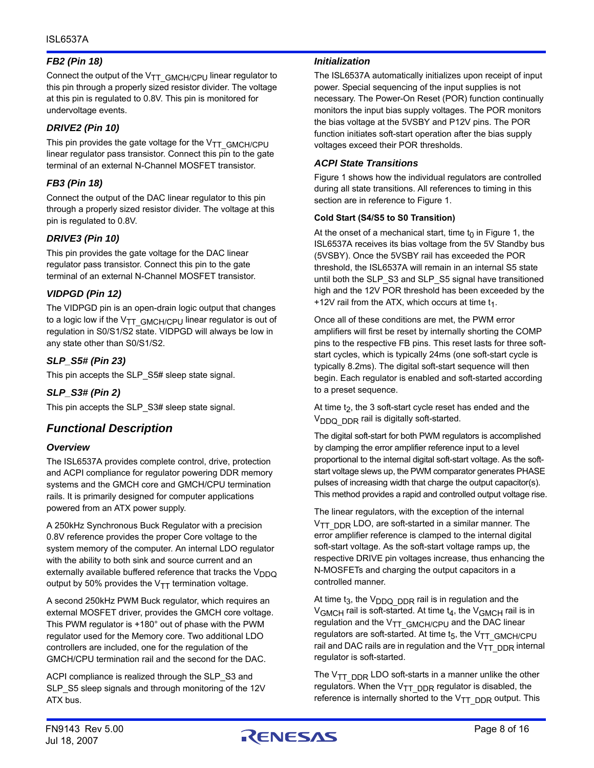#### *FB2 (Pin 18)*

Connect the output of the V<sub>TT\_GMCH/CPU</sub> linear regulator to this pin through a properly sized resistor divider. The voltage at this pin is regulated to 0.8V. This pin is monitored for undervoltage events.

#### *DRIVE2 (Pin 10)*

This pin provides the gate voltage for the  $V_{TT}$  GMCH/CPU linear regulator pass transistor. Connect this pin to the gate terminal of an external N-Channel MOSFET transistor.

#### *FB3 (Pin 18)*

Connect the output of the DAC linear regulator to this pin through a properly sized resistor divider. The voltage at this pin is regulated to 0.8V.

#### *DRIVE3 (Pin 10)*

This pin provides the gate voltage for the DAC linear regulator pass transistor. Connect this pin to the gate terminal of an external N-Channel MOSFET transistor.

#### *VIDPGD (Pin 12)*

The VIDPGD pin is an open-drain logic output that changes to a logic low if the  $V_{TT}$  GMCH/CPU linear regulator is out of regulation in S0/S1/S2 state. VIDPGD will always be low in any state other than S0/S1/S2.

#### *SLP\_S5# (Pin 23)*

This pin accepts the SLP\_S5# sleep state signal.

#### *SLP\_S3# (Pin 2)*

This pin accepts the SLP\_S3# sleep state signal.

#### *Functional Description*

#### *Overview*

The ISL6537A provides complete control, drive, protection and ACPI compliance for regulator powering DDR memory systems and the GMCH core and GMCH/CPU termination rails. It is primarily designed for computer applications powered from an ATX power supply.

A 250kHz Synchronous Buck Regulator with a precision 0.8V reference provides the proper Core voltage to the system memory of the computer. An internal LDO regulator with the ability to both sink and source current and an externally available buffered reference that tracks the  $V_{DDQ}$ output by 50% provides the  $V_{TT}$  termination voltage.

A second 250kHz PWM Buck regulator, which requires an external MOSFET driver, provides the GMCH core voltage. This PWM regulator is +180° out of phase with the PWM regulator used for the Memory core. Two additional LDO controllers are included, one for the regulation of the GMCH/CPU termination rail and the second for the DAC.

ACPI compliance is realized through the SLP\_S3 and SLP\_S5 sleep signals and through monitoring of the 12V ATX bus.

#### *Initialization*

The ISL6537A automatically initializes upon receipt of input power. Special sequencing of the input supplies is not necessary. The Power-On Reset (POR) function continually monitors the input bias supply voltages. The POR monitors the bias voltage at the 5VSBY and P12V pins. The POR function initiates soft-start operation after the bias supply voltages exceed their POR thresholds.

#### *ACPI State Transitions*

Figure 1 shows how the individual regulators are controlled during all state transitions. All references to timing in this section are in reference to Figure 1.

#### **Cold Start (S4/S5 to S0 Transition)**

At the onset of a mechanical start, time  $t_0$  in Figure 1, the ISL6537A receives its bias voltage from the 5V Standby bus (5VSBY). Once the 5VSBY rail has exceeded the POR threshold, the ISL6537A will remain in an internal S5 state until both the SLP\_S3 and SLP\_S5 signal have transitioned high and the 12V POR threshold has been exceeded by the +12V rail from the ATX, which occurs at time  $t_1$ .

Once all of these conditions are met, the PWM error amplifiers will first be reset by internally shorting the COMP pins to the respective FB pins. This reset lasts for three softstart cycles, which is typically 24ms (one soft-start cycle is typically 8.2ms). The digital soft-start sequence will then begin. Each regulator is enabled and soft-started according to a preset sequence.

At time  $t_2$ , the 3 soft-start cycle reset has ended and the V<sub>DDQ</sub> <sub>DDR</sub> rail is digitally soft-started.

The digital soft-start for both PWM regulators is accomplished by clamping the error amplifier reference input to a level proportional to the internal digital soft-start voltage. As the softstart voltage slews up, the PWM comparator generates PHASE pulses of increasing width that charge the output capacitor(s). This method provides a rapid and controlled output voltage rise.

The linear regulators, with the exception of the internal V<sub>TT\_DDR</sub> LDO, are soft-started in a similar manner. The error amplifier reference is clamped to the internal digital soft-start voltage. As the soft-start voltage ramps up, the respective DRIVE pin voltages increase, thus enhancing the N-MOSFETs and charging the output capacitors in a controlled manner.

At time t<sub>3</sub>, the V<sub>DDQ</sub> <sub>DDR</sub> rail is in regulation and the  $V_{GMCH}$  rail is soft-started. At time  $t_4$ , the  $V_{GMCH}$  rail is in regulation and the  $V_{TT}$  GMCH/CPU and the DAC linear regulators are soft-started. At time  $t_5$ , the  $V_{TT}$  GMCH/CPU rail and DAC rails are in regulation and the  $V_{TT}$  <sub>DDR</sub> internal regulator is soft-started.

The  $V_{TT}$  <sub>DDR</sub> LDO soft-starts in a manner unlike the other regulators. When the  $V_{TT}$  <sub>DDR</sub> regulator is disabled, the reference is internally shorted to the  $V_{TT}$   $_{\text{DDR}}$  output. This

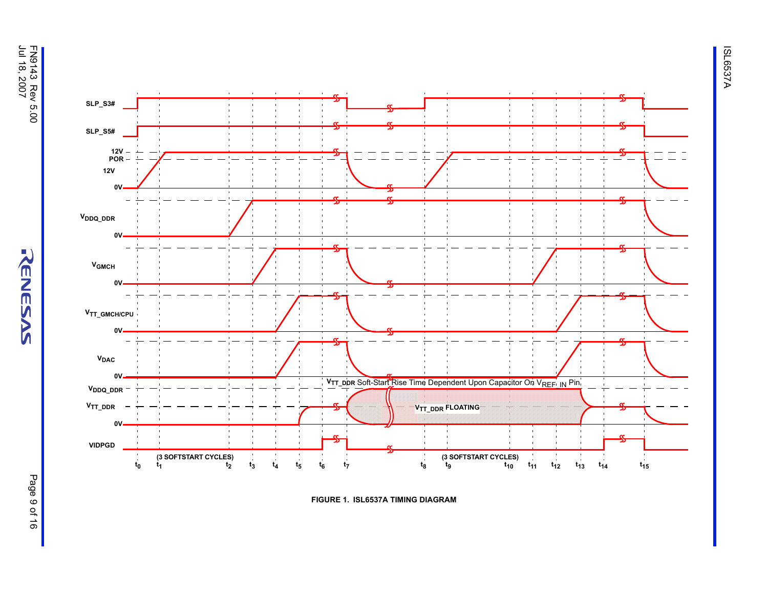KENESAS



**FIGURE 1. ISL6537A TIMING DIAGRAM**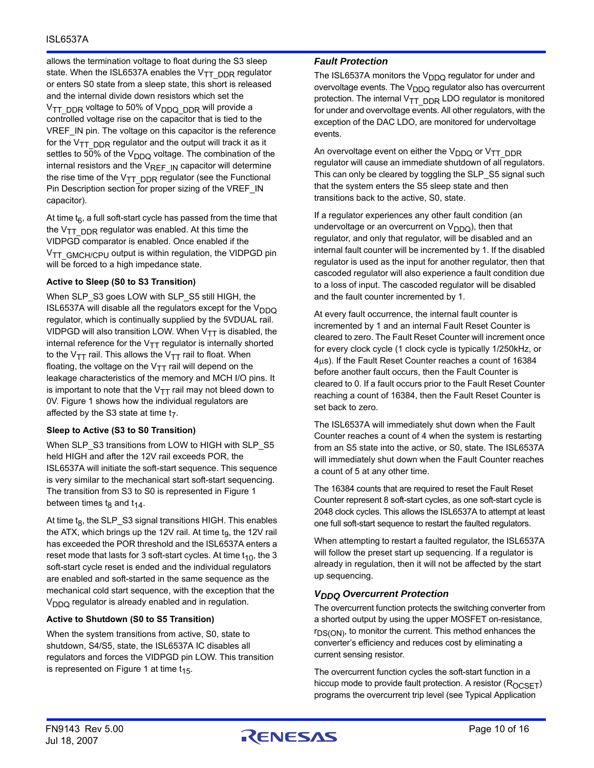#### ISL6537A

allows the termination voltage to float during the S3 sleep state. When the ISL6537A enables the  $V_{TT}$  <sub>DDR</sub> regulator or enters S0 state from a sleep state, this short is released and the internal divide down resistors which set the V<sub>TT\_DDR</sub> voltage to 50% of V<sub>DDQ\_DDR</sub> will provide a controlled voltage rise on the capacitor that is tied to the VREF\_IN pin. The voltage on this capacitor is the reference for the  $V_{TT}$   $_{\text{DDR}}$  regulator and the output will track it as it settles to 50% of the  $V_{DDQ}$  voltage. The combination of the internal resistors and the  $V_{RFF-N}$  capacitor will determine the rise time of the  $V_{TT}$  <sub>DDR</sub> regulator (see the Functional Pin Description section for proper sizing of the VREF\_IN capacitor).

At time  $t_6$ , a full soft-start cycle has passed from the time that the  $V_{TT}$  <sub>DDR</sub> regulator was enabled. At this time the VIDPGD comparator is enabled. Once enabled if the V<sub>TT</sub> GMCH/CPU output is within regulation, the VIDPGD pin will be forced to a high impedance state.

#### **Active to Sleep (S0 to S3 Transition)**

When SLP S3 goes LOW with SLP S5 still HIGH, the ISL6537A will disable all the regulators except for the  $V_{DDQ}$ regulator, which is continually supplied by the 5VDUAL rail. VIDPGD will also transition LOW. When  $V_{TT}$  is disabled, the internal reference for the  $V_{TT}$  regulator is internally shorted to the V<sub>TT</sub> rail. This allows the V<sub>TT</sub> rail to float. When floating, the voltage on the  $V_{TT}$  rail will depend on the leakage characteristics of the memory and MCH I/O pins. It is important to note that the  $V_{TT}$  rail may not bleed down to 0V. Figure 1 shows how the individual regulators are affected by the S3 state at time t<sub>7</sub>.

#### **Sleep to Active (S3 to S0 Transition)**

When SLP\_S3 transitions from LOW to HIGH with SLP\_S5 held HIGH and after the 12V rail exceeds POR, the ISL6537A will initiate the soft-start sequence. This sequence is very similar to the mechanical start soft-start sequencing. The transition from S3 to S0 is represented in Figure 1 between times t<sub>8</sub> and  $t_{14}$ .

At time  $t_8$ , the SLP\_S3 signal transitions HIGH. This enables the ATX, which brings up the 12V rail. At time t<sub>9</sub>, the 12V rail has exceeded the POR threshold and the ISL6537A enters a reset mode that lasts for 3 soft-start cycles. At time  $t_{10}$ , the 3 soft-start cycle reset is ended and the individual regulators are enabled and soft-started in the same sequence as the mechanical cold start sequence, with the exception that the  $V<sub>D</sub>$  regulator is already enabled and in regulation.

#### **Active to Shutdown (S0 to S5 Transition)**

When the system transitions from active, S0, state to shutdown, S4/S5, state, the ISL6537A IC disables all regulators and forces the VIDPGD pin LOW. This transition is represented on Figure 1 at time  $t_{15}$ .

#### *Fault Protection*

The ISL6537A monitors the  $V_{\text{DDO}}$  regulator for under and overvoltage events. The V<sub>DDQ</sub> regulator also has overcurrent protection. The internal  $V_{TT}$   $_{\text{DDR}}$  LDO regulator is monitored for under and overvoltage events. All other regulators, with the exception of the DAC LDO, are monitored for undervoltage events.

An overvoltage event on either the  $V_{DDQ}$  or  $V_{TT}$   $_{DDR}$ regulator will cause an immediate shutdown of all regulators. This can only be cleared by toggling the SLP\_S5 signal such that the system enters the S5 sleep state and then transitions back to the active, S0, state.

If a regulator experiences any other fault condition (an undervoltage or an overcurrent on  $V_{DDQ}$ ), then that regulator, and only that regulator, will be disabled and an internal fault counter will be incremented by 1. If the disabled regulator is used as the input for another regulator, then that cascoded regulator will also experience a fault condition due to a loss of input. The cascoded regulator will be disabled and the fault counter incremented by 1.

At every fault occurrence, the internal fault counter is incremented by 1 and an internal Fault Reset Counter is cleared to zero. The Fault Reset Counter will increment once for every clock cycle (1 clock cycle is typically 1/250kHz, or 4s). If the Fault Reset Counter reaches a count of 16384 before another fault occurs, then the Fault Counter is cleared to 0. If a fault occurs prior to the Fault Reset Counter reaching a count of 16384, then the Fault Reset Counter is set back to zero.

The ISL6537A will immediately shut down when the Fault Counter reaches a count of 4 when the system is restarting from an S5 state into the active, or S0, state. The ISL6537A will immediately shut down when the Fault Counter reaches a count of 5 at any other time.

The 16384 counts that are required to reset the Fault Reset Counter represent 8 soft-start cycles, as one soft-start cycle is 2048 clock cycles. This allows the ISL6537A to attempt at least one full soft-start sequence to restart the faulted regulators.

When attempting to restart a faulted regulator, the ISL6537A will follow the preset start up sequencing. If a regulator is already in regulation, then it will not be affected by the start up sequencing.

#### *VDDQ Overcurrent Protection*

The overcurrent function protects the switching converter from a shorted output by using the upper MOSFET on-resistance,  $r_{DS(ON)}$ , to monitor the current. This method enhances the converter's efficiency and reduces cost by eliminating a current sensing resistor.

The overcurrent function cycles the soft-start function in a hiccup mode to provide fault protection. A resistor  $(R_{OCSFT})$ programs the overcurrent trip level (see Typical Application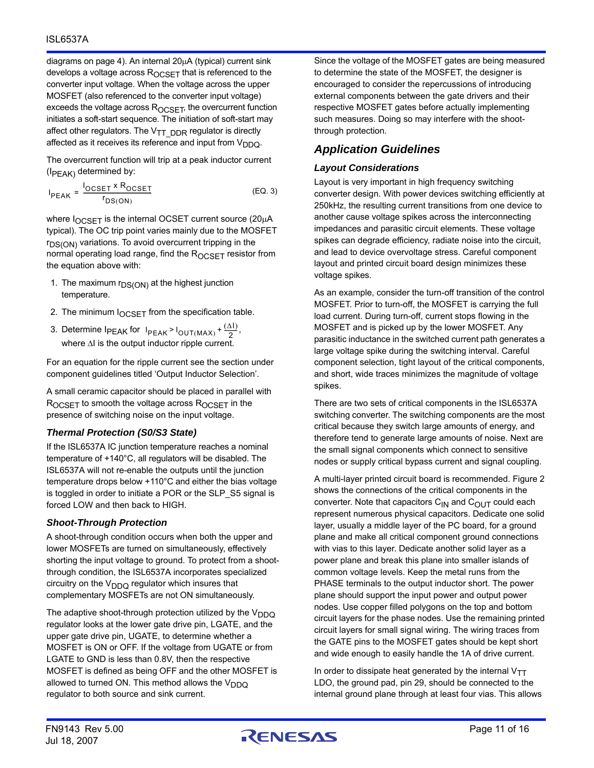diagrams on page 4). An internal  $20\mu A$  (typical) current sink develops a voltage across  $R_{OCSET}$  that is referenced to the converter input voltage. When the voltage across the upper MOSFET (also referenced to the converter input voltage) exceeds the voltage across ROCSET, the overcurrent function initiates a soft-start sequence. The initiation of soft-start may affect other regulators. The  $V_{TT}$   $_{\text{DDR}}$  regulator is directly affected as it receives its reference and input from  $V_{DDQ}$ .

The overcurrent function will trip at a peak inductor current  $(I_{PFAK)}$  determined by:

$$
I_{PEAK} = \frac{I_{OCSET} \times R_{OCSET}}{r_{DS(ON)}}
$$
 (EQ. 3)

where  $I_{OCSET}$  is the internal OCSET current source (20 $\mu$ A typical). The OC trip point varies mainly due to the MOSFET  $r_{DS(ON)}$  variations. To avoid overcurrent tripping in the normal operating load range, find the  $R_{OCSET}$  resistor from the equation above with:

- 1. The maximum  $r_{DS(ON)}$  at the highest junction temperature.
- 2. The minimum  $I_{OCSET}$  from the specification table.
- 3. Determine  $I_{PEAK}$  for  $I_{PEAK} > I_{OUT(MAX)} + \frac{(\Delta I)}{2}$ , where  $\Delta I$  is the output inductor ripple current

For an equation for the ripple current see the section under component guidelines titled 'Output Inductor Selection'.

A small ceramic capacitor should be placed in parallel with  $R_{OCSET}$  to smooth the voltage across  $R_{OCSET}$  in the presence of switching noise on the input voltage.

#### *Thermal Protection (S0/S3 State)*

If the ISL6537A IC junction temperature reaches a nominal temperature of +140°C, all regulators will be disabled. The ISL6537A will not re-enable the outputs until the junction temperature drops below +110°C and either the bias voltage is toggled in order to initiate a POR or the SLP S5 signal is forced LOW and then back to HIGH.

#### *Shoot-Through Protection*

A shoot-through condition occurs when both the upper and lower MOSFETs are turned on simultaneously, effectively shorting the input voltage to ground. To protect from a shootthrough condition, the ISL6537A incorporates specialized circuitry on the  $V_{DDQ}$  regulator which insures that complementary MOSFETs are not ON simultaneously.

The adaptive shoot-through protection utilized by the  $V_{DDQ}$ regulator looks at the lower gate drive pin, LGATE, and the upper gate drive pin, UGATE, to determine whether a MOSFET is ON or OFF. If the voltage from UGATE or from LGATE to GND is less than 0.8V, then the respective MOSFET is defined as being OFF and the other MOSFET is allowed to turned ON. This method allows the  $V_{DDQ}$ regulator to both source and sink current.

Since the voltage of the MOSFET gates are being measured to determine the state of the MOSFET, the designer is encouraged to consider the repercussions of introducing external components between the gate drivers and their respective MOSFET gates before actually implementing such measures. Doing so may interfere with the shootthrough protection.

## *Application Guidelines*

### *Layout Considerations*

Layout is very important in high frequency switching converter design. With power devices switching efficiently at 250kHz, the resulting current transitions from one device to another cause voltage spikes across the interconnecting impedances and parasitic circuit elements. These voltage spikes can degrade efficiency, radiate noise into the circuit, and lead to device overvoltage stress. Careful component layout and printed circuit board design minimizes these voltage spikes.

As an example, consider the turn-off transition of the control MOSFET. Prior to turn-off, the MOSFET is carrying the full load current. During turn-off, current stops flowing in the MOSFET and is picked up by the lower MOSFET. Any parasitic inductance in the switched current path generates a large voltage spike during the switching interval. Careful component selection, tight layout of the critical components, and short, wide traces minimizes the magnitude of voltage spikes.

There are two sets of critical components in the ISL6537A switching converter. The switching components are the most critical because they switch large amounts of energy, and therefore tend to generate large amounts of noise. Next are the small signal components which connect to sensitive nodes or supply critical bypass current and signal coupling.

A multi-layer printed circuit board is recommended. Figure 2 shows the connections of the critical components in the converter. Note that capacitors  $C_{IN}$  and  $C_{OUT}$  could each represent numerous physical capacitors. Dedicate one solid layer, usually a middle layer of the PC board, for a ground plane and make all critical component ground connections with vias to this layer. Dedicate another solid layer as a power plane and break this plane into smaller islands of common voltage levels. Keep the metal runs from the PHASE terminals to the output inductor short. The power plane should support the input power and output power nodes. Use copper filled polygons on the top and bottom circuit layers for the phase nodes. Use the remaining printed circuit layers for small signal wiring. The wiring traces from the GATE pins to the MOSFET gates should be kept short and wide enough to easily handle the 1A of drive current.

In order to dissipate heat generated by the internal  $V_{TT}$ LDO, the ground pad, pin 29, should be connected to the internal ground plane through at least four vias. This allows

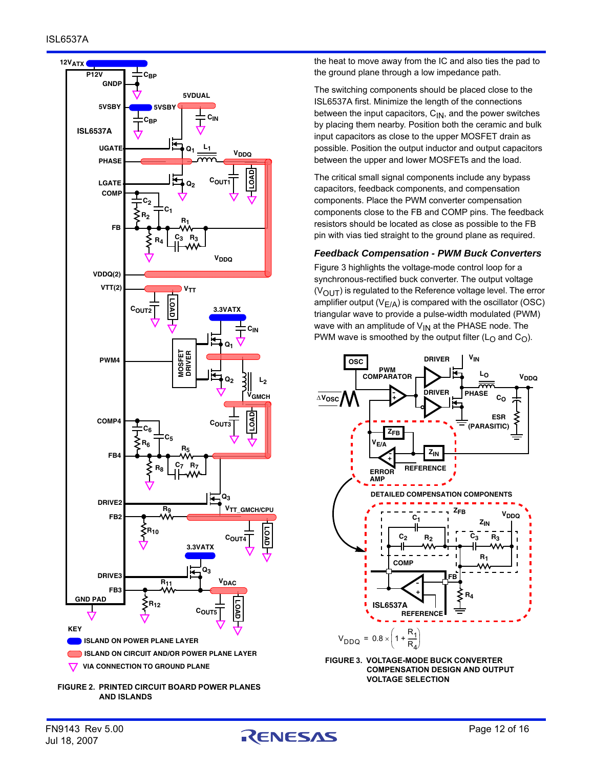

**FIGURE 2. PRINTED CIRCUIT BOARD POWER PLANES AND ISLANDS**

the heat to move away from the IC and also ties the pad to the ground plane through a low impedance path.

The switching components should be placed close to the ISL6537A first. Minimize the length of the connections between the input capacitors,  $C_{IN}$ , and the power switches by placing them nearby. Position both the ceramic and bulk input capacitors as close to the upper MOSFET drain as possible. Position the output inductor and output capacitors between the upper and lower MOSFETs and the load.

The critical small signal components include any bypass capacitors, feedback components, and compensation components. Place the PWM converter compensation components close to the FB and COMP pins. The feedback resistors should be located as close as possible to the FB pin with vias tied straight to the ground plane as required.

#### *Feedback Compensation - PWM Buck Converters*

Figure 3 highlights the voltage-mode control loop for a synchronous-rectified buck converter. The output voltage  $(V<sub>OUT</sub>)$  is regulated to the Reference voltage level. The error amplifier output ( $V_{E/A}$ ) is compared with the oscillator (OSC) triangular wave to provide a pulse-width modulated (PWM) wave with an amplitude of  $V_{IN}$  at the PHASE node. The PWM wave is smoothed by the output filter ( $L<sub>O</sub>$  and  $C<sub>O</sub>$ ).





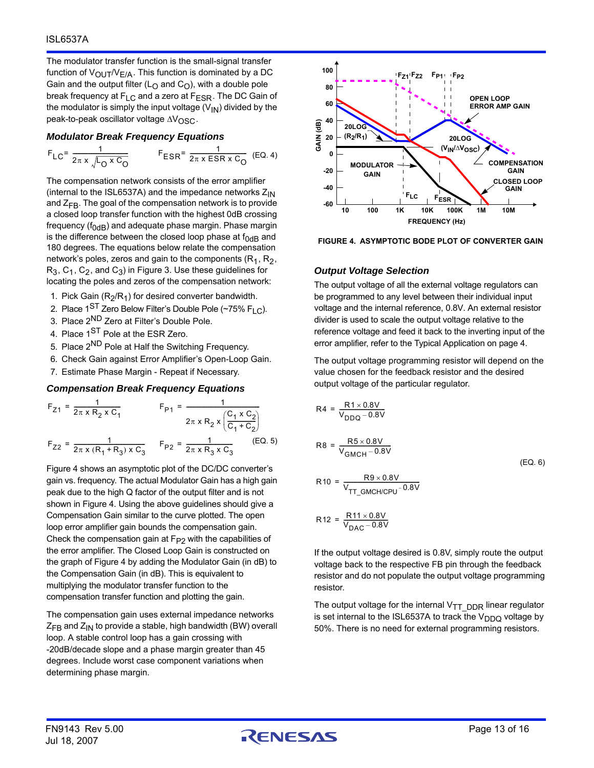The modulator transfer function is the small-signal transfer function of  $V_{\text{OUT}}/V_{E/A}$ . This function is dominated by a DC Gain and the output filter ( $L<sub>O</sub>$  and  $C<sub>O</sub>$ ), with a double pole break frequency at  $F_{LC}$  and a zero at  $F_{ESR}$ . The DC Gain of the modulator is simply the input voltage  $(V_{1N})$  divided by the peak-to-peak oscillator voltage  $\Delta V_{\rm OSC}$ .

#### *Modulator Break Frequency Equations*

 $F_{LC} = \frac{1}{2\pi r \sqrt{a}}$  $=\frac{1}{2\pi x \sqrt{\frac{L_0 x C_0}{C}}}$  F<sub>ESR</sub> $=\frac{1}{2\pi x E}$  $=\frac{1}{2\pi \times \text{ESR} \times C_{\text{O}}}$  (EQ. 4)

The compensation network consists of the error amplifier (internal to the ISL6537A) and the impedance networks  $Z_{IN}$ and  $Z_{FR}$ . The goal of the compensation network is to provide a closed loop transfer function with the highest 0dB crossing frequency ( $f<sub>0dB</sub>$ ) and adequate phase margin. Phase margin is the difference between the closed loop phase at  $f_{0dB}$  and 180 degrees. The equations below relate the compensation network's poles, zeros and gain to the components  $(R_1, R_2, R_3)$  $R_3$ ,  $C_1$ ,  $C_2$ , and  $C_3$ ) in Figure 3. Use these guidelines for locating the poles and zeros of the compensation network:

- 1. Pick Gain  $(R_2/R_1)$  for desired converter bandwidth.
- 2. Place 1<sup>ST</sup> Zero Below Filter's Double Pole (~75% F<sub>LC</sub>).
- 3. Place 2ND Zero at Filter's Double Pole.
- 4. Place 1<sup>ST</sup> Pole at the ESR Zero.
- 5. Place 2<sup>ND</sup> Pole at Half the Switching Frequency.
- 6. Check Gain against Error Amplifier's Open-Loop Gain.
- 7. Estimate Phase Margin Repeat if Necessary.

#### *Compensation Break Frequency Equations*

$$
F_{Z1} = \frac{1}{2\pi \times R_2 \times C_1}
$$
  
\n
$$
F_{P1} = \frac{1}{2\pi \times R_2 \times \left(\frac{C_1 \times C_2}{C_1 + C_2}\right)}
$$
  
\n
$$
F_{Z2} = \frac{1}{2\pi \times (R_1 + R_3) \times C_3}
$$
  
\n
$$
F_{P2} = \frac{1}{2\pi \times R_3 \times C_3}
$$
  
\n
$$
(EQ. 5)
$$

Figure 4 shows an asymptotic plot of the DC/DC converter's gain vs. frequency. The actual Modulator Gain has a high gain peak due to the high Q factor of the output filter and is not shown in Figure 4. Using the above guidelines should give a Compensation Gain similar to the curve plotted. The open loop error amplifier gain bounds the compensation gain. Check the compensation gain at  $F_{P2}$  with the capabilities of the error amplifier. The Closed Loop Gain is constructed on the graph of Figure 4 by adding the Modulator Gain (in dB) to the Compensation Gain (in dB). This is equivalent to multiplying the modulator transfer function to the compensation transfer function and plotting the gain.

The compensation gain uses external impedance networks  $Z_{FB}$  and  $Z_{IN}$  to provide a stable, high bandwidth (BW) overall loop. A stable control loop has a gain crossing with -20dB/decade slope and a phase margin greater than 45 degrees. Include worst case component variations when determining phase margin.



**FIGURE 4. ASYMPTOTIC BODE PLOT OF CONVERTER GAIN**

#### *Output Voltage Selection*

The output voltage of all the external voltage regulators can be programmed to any level between their individual input voltage and the internal reference, 0.8V. An external resistor divider is used to scale the output voltage relative to the reference voltage and feed it back to the inverting input of the error amplifier, refer to the Typical Application on page 4.

The output voltage programming resistor will depend on the value chosen for the feedback resistor and the desired output voltage of the particular regulator.

$$
R4 = \frac{R1 \times 0.8V}{V_{DDQ} - 0.8V}
$$
  
\n
$$
R8 = \frac{R5 \times 0.8V}{V_{GMCH} - 0.8V}
$$
  
\n
$$
R10 = \frac{R9 \times 0.8V}{V_{TT\_GMCH/CPU} - 0.8V}
$$
 (EQ. 6)

$$
R12 = \frac{R11 \times 0.8V}{V_{\text{DAC}} - 0.8V}
$$

If the output voltage desired is 0.8V, simply route the output voltage back to the respective FB pin through the feedback resistor and do not populate the output voltage programming resistor.

The output voltage for the internal  $V_{TT}$   $_{\text{DDR}}$  linear regulator is set internal to the ISL6537A to track the  $V_{DDO}$  voltage by 50%. There is no need for external programming resistors.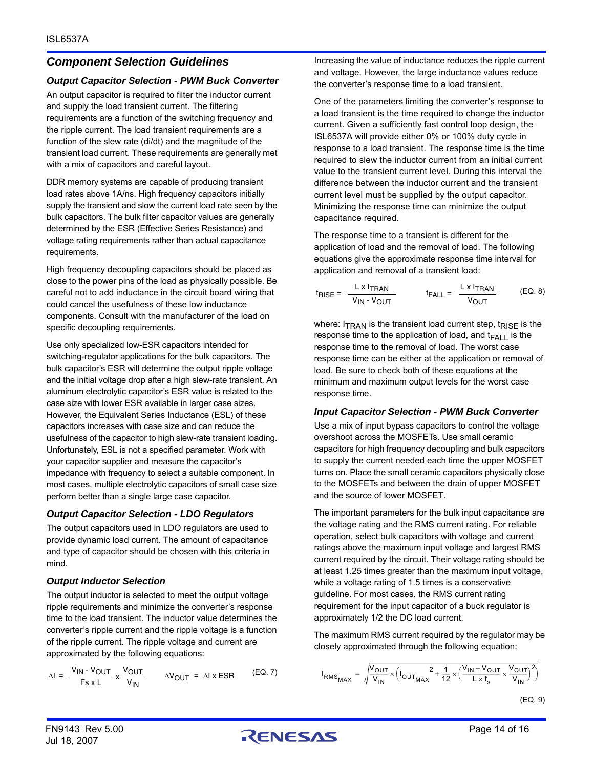#### *Component Selection Guidelines*

#### *Output Capacitor Selection - PWM Buck Converter*

An output capacitor is required to filter the inductor current and supply the load transient current. The filtering requirements are a function of the switching frequency and the ripple current. The load transient requirements are a function of the slew rate (di/dt) and the magnitude of the transient load current. These requirements are generally met with a mix of capacitors and careful layout.

DDR memory systems are capable of producing transient load rates above 1A/ns. High frequency capacitors initially supply the transient and slow the current load rate seen by the bulk capacitors. The bulk filter capacitor values are generally determined by the ESR (Effective Series Resistance) and voltage rating requirements rather than actual capacitance requirements.

High frequency decoupling capacitors should be placed as close to the power pins of the load as physically possible. Be careful not to add inductance in the circuit board wiring that could cancel the usefulness of these low inductance components. Consult with the manufacturer of the load on specific decoupling requirements.

Use only specialized low-ESR capacitors intended for switching-regulator applications for the bulk capacitors. The bulk capacitor's ESR will determine the output ripple voltage and the initial voltage drop after a high slew-rate transient. An aluminum electrolytic capacitor's ESR value is related to the case size with lower ESR available in larger case sizes. However, the Equivalent Series Inductance (ESL) of these capacitors increases with case size and can reduce the usefulness of the capacitor to high slew-rate transient loading. Unfortunately, ESL is not a specified parameter. Work with your capacitor supplier and measure the capacitor's impedance with frequency to select a suitable component. In most cases, multiple electrolytic capacitors of small case size perform better than a single large case capacitor.

#### *Output Capacitor Selection - LDO Regulators*

The output capacitors used in LDO regulators are used to provide dynamic load current. The amount of capacitance and type of capacitor should be chosen with this criteria in mind.

#### *Output Inductor Selection*

The output inductor is selected to meet the output voltage ripple requirements and minimize the converter's response time to the load transient. The inductor value determines the converter's ripple current and the ripple voltage is a function of the ripple current. The ripple voltage and current are approximated by the following equations:

$$
\Delta I = \frac{V_{IN} - V_{OUT}}{Fs \times L} \times \frac{V_{OUT}}{V_{IN}} \qquad \Delta V_{OUT} = \Delta I \times ESR \qquad (EQ. 7)
$$

Increasing the value of inductance reduces the ripple current and voltage. However, the large inductance values reduce the converter's response time to a load transient.

One of the parameters limiting the converter's response to a load transient is the time required to change the inductor current. Given a sufficiently fast control loop design, the ISL6537A will provide either 0% or 100% duty cycle in response to a load transient. The response time is the time required to slew the inductor current from an initial current value to the transient current level. During this interval the difference between the inductor current and the transient current level must be supplied by the output capacitor. Minimizing the response time can minimize the output capacitance required.

The response time to a transient is different for the application of load and the removal of load. The following equations give the approximate response time interval for application and removal of a transient load:

$$
t_{\text{RISE}} = \frac{L \times I_{\text{TRAN}}}{V_{\text{IN}} \cdot V_{\text{OUT}}} \qquad t_{\text{FALL}} = \frac{L \times I_{\text{TRAN}}}{V_{\text{OUT}}} \qquad (EQ. 8)
$$

where:  $I_{TRAN}$  is the transient load current step,  $t_{RISE}$  is the response time to the application of load, and  $t_{FAI}$  is the response time to the removal of load. The worst case response time can be either at the application or removal of load. Be sure to check both of these equations at the minimum and maximum output levels for the worst case response time.

#### *Input Capacitor Selection - PWM Buck Converter*

Use a mix of input bypass capacitors to control the voltage overshoot across the MOSFETs. Use small ceramic capacitors for high frequency decoupling and bulk capacitors to supply the current needed each time the upper MOSFET turns on. Place the small ceramic capacitors physically close to the MOSFETs and between the drain of upper MOSFET and the source of lower MOSFET.

The important parameters for the bulk input capacitance are the voltage rating and the RMS current rating. For reliable operation, select bulk capacitors with voltage and current ratings above the maximum input voltage and largest RMS current required by the circuit. Their voltage rating should be at least 1.25 times greater than the maximum input voltage, while a voltage rating of 1.5 times is a conservative guideline. For most cases, the RMS current rating requirement for the input capacitor of a buck regulator is approximately 1/2 the DC load current.

The maximum RMS current required by the regulator may be closely approximated through the following equation:

$$
I_{RMS_{MAX}} = \sqrt{\frac{V_{OUT}}{V_{IN}} \times \left( I_{OUT_{MAX}} \frac{2}{12} \times \left( \frac{V_{IN} - V_{OUT}}{L \times f_s} \times \frac{V_{OUT}}{V_{IN}} \right)^2 \right)}
$$

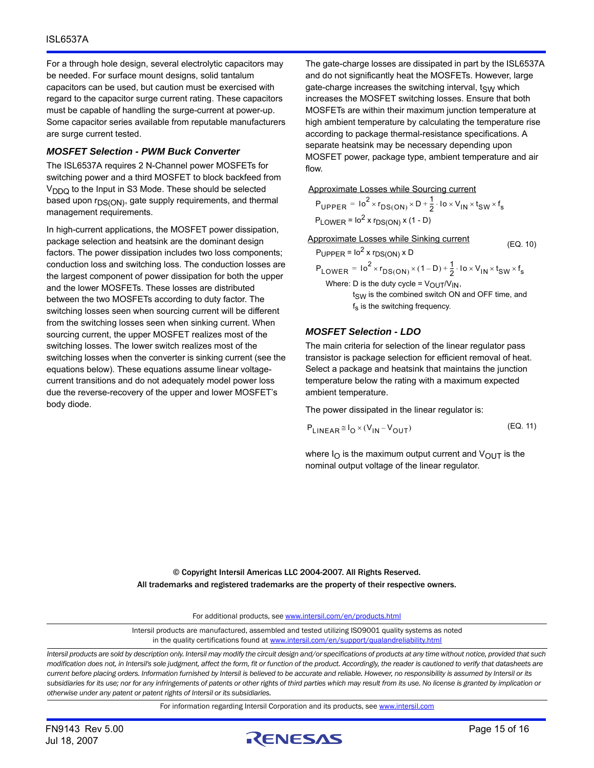For a through hole design, several electrolytic capacitors may be needed. For surface mount designs, solid tantalum capacitors can be used, but caution must be exercised with regard to the capacitor surge current rating. These capacitors must be capable of handling the surge-current at power-up. Some capacitor series available from reputable manufacturers are surge current tested.

#### *MOSFET Selection - PWM Buck Converter*

The ISL6537A requires 2 N-Channel power MOSFETs for switching power and a third MOSFET to block backfeed from  $V<sub>D</sub>$  to the Input in S3 Mode. These should be selected based upon  $r_{DS(ON)}$ , gate supply requirements, and thermal management requirements.

In high-current applications, the MOSFET power dissipation, package selection and heatsink are the dominant design factors. The power dissipation includes two loss components; conduction loss and switching loss. The conduction losses are the largest component of power dissipation for both the upper and the lower MOSFETs. These losses are distributed between the two MOSFETs according to duty factor. The switching losses seen when sourcing current will be different from the switching losses seen when sinking current. When sourcing current, the upper MOSFET realizes most of the switching losses. The lower switch realizes most of the switching losses when the converter is sinking current (see the equations below). These equations assume linear voltagecurrent transitions and do not adequately model power loss due the reverse-recovery of the upper and lower MOSFET's body diode.

The gate-charge losses are dissipated in part by the ISL6537A and do not significantly heat the MOSFETs. However, large gate-charge increases the switching interval,  $t_{SW}$  which increases the MOSFET switching losses. Ensure that both MOSFETs are within their maximum junction temperature at high ambient temperature by calculating the temperature rise according to package thermal-resistance specifications. A separate heatsink may be necessary depending upon MOSFET power, package type, ambient temperature and air flow.

#### Approximate Losses while Sourcing current

$$
P_{\text{UPPER}} = 10^{2} \times r_{\text{DS(ON)}} \times D + \frac{1}{2} \cdot 10 \times V_{\text{IN}} \times t_{\text{SW}} \times f_{\text{s}}
$$
  

$$
P_{\text{LOWER}} = 10^{2} \times r_{\text{DS(ON)}} \times (1 - D)
$$

Approximate Losses while Sinking current  $P_{\text{UPPER}} = 10^2 \times r_{\text{DS}(\text{ON})} \times D$ (EQ. 10)

Where: D is the duty cycle =  $V_{\text{OUT}}/V_{\text{IN}}$ , t<sub>SW</sub> is the combined switch ON and OFF time, and  $f_s$  is the switching frequency.  $P_{LOWER} = 10^{2} \times r_{DS(ON)} \times (1 - D) + \frac{1}{2} \cdot 10 \times V_{IN} \times t_{SW} \times t_{S}$ 

#### *MOSFET Selection - LDO*

The main criteria for selection of the linear regulator pass transistor is package selection for efficient removal of heat. Select a package and heatsink that maintains the junction temperature below the rating with a maximum expected ambient temperature.

The power dissipated in the linear regulator is:

$$
P_{LINEAR} \cong I_0 \times (V_{IN} - V_{OUT})
$$
 (EQ. 11)

where  $I_{\Omega}$  is the maximum output current and  $V_{\Omega}I_{\Pi}$  is the nominal output voltage of the linear regulator.

© Copyright Intersil Americas LLC 2004-2007. All Rights Reserved. All trademarks and registered trademarks are the property of their respective owners.

For additional products, see [www.intersil.com/en/products.html](http://www.intersil.com/en/products.html?utm_source=Intersil&utm_medium=datasheet&utm_campaign=disclaimer-ds-footer)

[Intersil products are manufactured, assembled and tested utilizing ISO9001 quality systems as noted](http://www.intersil.com/en/products.html?utm_source=Intersil&utm_medium=datasheet&utm_campaign=disclaimer-ds-footer) in the quality certifications found at [www.intersil.com/en/support/qualandreliability.html](http://www.intersil.com/en/support/qualandreliability.html?utm_source=Intersil&utm_medium=datasheet&utm_campaign=disclaimer-ds-footer)

*Intersil products are sold by description only. Intersil may modify the circuit design and/or specifications of products at any time without notice, provided that such modification does not, in Intersil's sole judgment, affect the form, fit or function of the product. Accordingly, the reader is cautioned to verify that datasheets are current before placing orders. Information furnished by Intersil is believed to be accurate and reliable. However, no responsibility is assumed by Intersil or its subsidiaries for its use; nor for any infringements of patents or other rights of third parties which may result from its use. No license is granted by implication or otherwise under any patent or patent rights of Intersil or its subsidiaries.*

For information regarding Intersil Corporation and its products, see [www.intersil.com](http://www.intersil.com?utm_source=intersil&utm_medium=datasheet&utm_campaign=disclaimer-ds-footer)

Jul 18, 2007

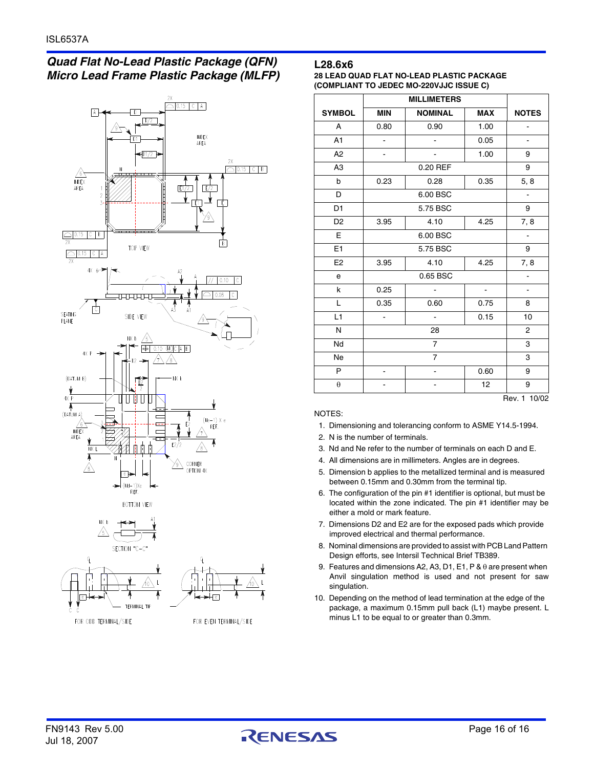#### *Quad Flat No-Lead Plastic Package (QFN) Micro Lead Frame Plastic Package (MLFP)*









FOR EVEN TERMINAL/SIDE

#### **L28.6x6**

#### **28 LEAD QUAD FLAT NO-LEAD PLASTIC PACKAGE (COMPLIANT TO JEDEC MO-220VJJC ISSUE C)**

|                | <b>MILLIMETERS</b> |                          |                |                          |  |
|----------------|--------------------|--------------------------|----------------|--------------------------|--|
| <b>SYMBOL</b>  | <b>MIN</b>         | <b>NOMINAL</b>           | <b>MAX</b>     | <b>NOTES</b>             |  |
| A              | 0.80               | 0.90                     | 1.00           |                          |  |
| A1             | ä,                 | ÷.                       | 0.05           | $\overline{\phantom{0}}$ |  |
| A <sub>2</sub> |                    |                          | 1.00           | 9                        |  |
| A <sub>3</sub> |                    | 0.20 REF                 |                | 9                        |  |
| b              | 0.23               | 0.28                     | 0.35           | 5, 8                     |  |
| D              |                    | 6.00 BSC                 |                |                          |  |
| D <sub>1</sub> |                    | 5.75 BSC                 |                |                          |  |
| D <sub>2</sub> | 3.95               | 4.10                     | 4.25           | 7, 8                     |  |
| E              |                    | 6.00 BSC                 |                |                          |  |
| E <sub>1</sub> |                    | 5.75 BSC                 |                |                          |  |
| E <sub>2</sub> | 3.95               | 4.10<br>4.25             |                |                          |  |
| e              |                    | 0.65 BSC                 |                |                          |  |
| k              | 0.25               | $\blacksquare$           | $\blacksquare$ | $\overline{\phantom{a}}$ |  |
| Г              | 0.35               | 0.60                     | 0.75           | 8                        |  |
| L1             | $\overline{a}$     | $\blacksquare$           | 0.15           | 10                       |  |
| N              |                    | 28                       |                |                          |  |
| Nd             |                    | $\overline{7}$           |                |                          |  |
| Ne             |                    | $\overline{7}$           |                |                          |  |
| P              | -                  | $\overline{\phantom{a}}$ | 0.60           | 9                        |  |
| $\theta$       |                    |                          | 12             | 9                        |  |
|                |                    |                          |                | Rev. 1 10/02             |  |

#### NOTES:

- 1. Dimensioning and tolerancing conform to ASME Y14.5-1994.
- 2. N is the number of terminals.
- 3. Nd and Ne refer to the number of terminals on each D and E.
- 4. All dimensions are in millimeters. Angles are in degrees.
- 5. Dimension b applies to the metallized terminal and is measured between 0.15mm and 0.30mm from the terminal tip.
- 6. The configuration of the pin #1 identifier is optional, but must be located within the zone indicated. The pin #1 identifier may be either a mold or mark feature.
- 7. Dimensions D2 and E2 are for the exposed pads which provide improved electrical and thermal performance.
- 8. Nominal dimensions are provided to assist with PCB Land Pattern Design efforts, see Intersil Technical Brief TB389.
- 9. Features and dimensions A2, A3, D1, E1, P &  $\theta$  are present when Anvil singulation method is used and not present for saw singulation.
- 10. Depending on the method of lead termination at the edge of the package, a maximum 0.15mm pull back (L1) maybe present. L minus L1 to be equal to or greater than 0.3mm.